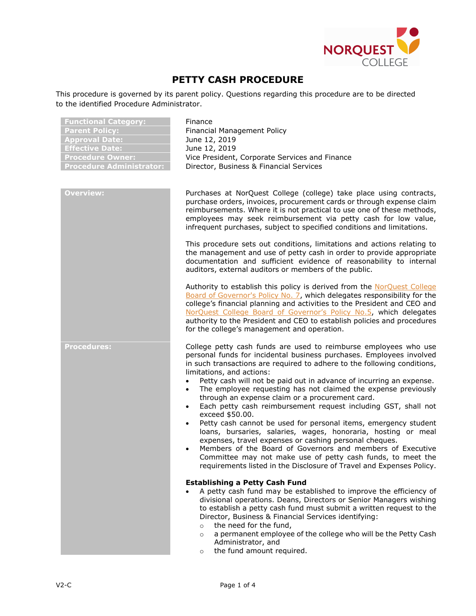

## **PETTY CASH PROCEDURE**

This procedure is governed by its parent policy. Questions regarding this procedure are to be directed to the identified Procedure Administrator.

| <b>Functional Category:</b><br><b>Parent Policy:</b><br><b>Approval Date:</b><br><b>Effective Date:</b><br><b>Procedure Owner:</b><br><b>Procedure Administrator:</b> | Finance<br>Financial Management Policy<br>June 12, 2019<br>June 12, 2019<br>Vice President, Corporate Services and Finance<br>Director, Business & Financial Services                                                                                                                                                                                                                                                                                                                                                                                                                                                                                                                                                                                                                                                                                                                                                                                                        |
|-----------------------------------------------------------------------------------------------------------------------------------------------------------------------|------------------------------------------------------------------------------------------------------------------------------------------------------------------------------------------------------------------------------------------------------------------------------------------------------------------------------------------------------------------------------------------------------------------------------------------------------------------------------------------------------------------------------------------------------------------------------------------------------------------------------------------------------------------------------------------------------------------------------------------------------------------------------------------------------------------------------------------------------------------------------------------------------------------------------------------------------------------------------|
| <b>Overview:</b>                                                                                                                                                      | Purchases at NorQuest College (college) take place using contracts,<br>purchase orders, invoices, procurement cards or through expense claim<br>reimbursements. Where it is not practical to use one of these methods,<br>employees may seek reimbursement via petty cash for low value,<br>infrequent purchases, subject to specified conditions and limitations.                                                                                                                                                                                                                                                                                                                                                                                                                                                                                                                                                                                                           |
|                                                                                                                                                                       | This procedure sets out conditions, limitations and actions relating to<br>the management and use of petty cash in order to provide appropriate<br>documentation and sufficient evidence of reasonability to internal<br>auditors, external auditors or members of the public.                                                                                                                                                                                                                                                                                                                                                                                                                                                                                                                                                                                                                                                                                               |
|                                                                                                                                                                       | Authority to establish this policy is derived from the NorQuest College<br>Board of Governor's Policy No. 7, which delegates responsibility for the<br>college's financial planning and activities to the President and CEO and<br>NorQuest College Board of Governor's Policy No.5, which delegates<br>authority to the President and CEO to establish policies and procedures<br>for the college's management and operation.                                                                                                                                                                                                                                                                                                                                                                                                                                                                                                                                               |
| <b>Procedures:</b>                                                                                                                                                    | College petty cash funds are used to reimburse employees who use<br>personal funds for incidental business purchases. Employees involved<br>in such transactions are required to adhere to the following conditions,<br>limitations, and actions:<br>Petty cash will not be paid out in advance of incurring an expense.<br>$\bullet$<br>The employee requesting has not claimed the expense previously<br>$\bullet$<br>through an expense claim or a procurement card.<br>Each petty cash reimbursement request including GST, shall not<br>$\bullet$<br>exceed \$50.00.<br>Petty cash cannot be used for personal items, emergency student<br>loans, bursaries, salaries, wages, honoraria, hosting or meal<br>expenses, travel expenses or cashing personal cheques.<br>Members of the Board of Governors and members of Executive<br>Committee may not make use of petty cash funds, to meet the<br>requirements listed in the Disclosure of Travel and Expenses Policy. |
|                                                                                                                                                                       | <b>Establishing a Petty Cash Fund</b><br>A petty cash fund may be established to improve the efficiency of<br>divisional operations. Deans, Directors or Senior Managers wishing<br>to establish a petty cash fund must submit a written request to the<br>Director, Business & Financial Services identifying:<br>the need for the fund,<br>$\circ$<br>a permanent employee of the college who will be the Petty Cash<br>$\circ$<br>Administrator, and<br>the fund amount required.<br>$\circ$                                                                                                                                                                                                                                                                                                                                                                                                                                                                              |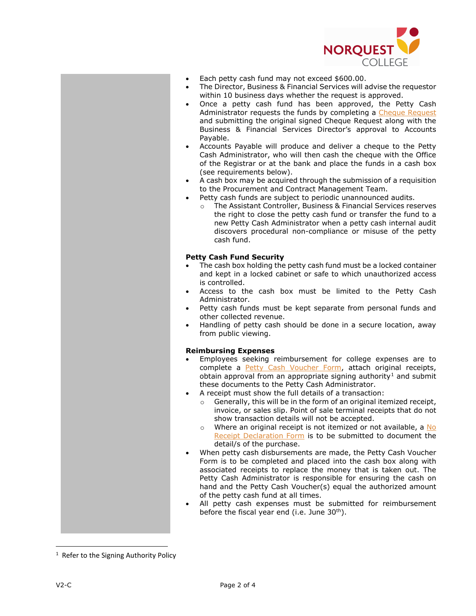

- Each petty cash fund may not exceed \$600.00.
- The Director, Business & Financial Services will advise the requestor within 10 business days whether the request is approved.
- Once a petty cash fund has been approved, the Petty Cash Administrator requests the funds by completing a [Cheque Request](http://theq.norquest.ca/Departments/IPBMFS/Public-Documents/Forms/Cheque-Request-used-in-PeopleSoft.aspx) and submitting the original signed Cheque Request along with the Business & Financial Services Director's approval to Accounts Payable.
- Accounts Payable will produce and deliver a cheque to the Petty Cash Administrator, who will then cash the cheque with the Office of the Registrar or at the bank and place the funds in a cash box (see requirements below).
- A cash box may be acquired through the submission of a requisition to the Procurement and Contract Management Team.
- Petty cash funds are subject to periodic unannounced audits.
	- o The Assistant Controller, Business & Financial Services reserves the right to close the petty cash fund or transfer the fund to a new Petty Cash Administrator when a petty cash internal audit discovers procedural non-compliance or misuse of the petty cash fund.

## **Petty Cash Fund Security**

- The cash box holding the petty cash fund must be a locked container and kept in a locked cabinet or safe to which unauthorized access is controlled.
- Access to the cash box must be limited to the Petty Cash Administrator.
- Petty cash funds must be kept separate from personal funds and other collected revenue.
- Handling of petty cash should be done in a secure location, away from public viewing.

## **Reimbursing Expenses**

- Employees seeking reimbursement for college expenses are to complete a [Petty Cash Voucher Form,](http://theq.norquest.ca/Departments/IPBMFS/Public-Documents/Forms/Petty-Cash-Voucher-Form.aspx) attach original receipts, obtain approval from an appropriate signing authority<sup>[1](#page-1-0)</sup> and submit these documents to the Petty Cash Administrator.
- A receipt must show the full details of a transaction:
	- o Generally, this will be in the form of an original itemized receipt, invoice, or sales slip. Point of sale terminal receipts that do not show transaction details will not be accepted.
	- o Where an original receipt is not itemized or not available, a [No](http://theq.norquest.ca/Departments/IPBMFS/Public-Documents/Forms/No-Receipt-Declaration-Form.aspx)  [Receipt Declaration Form](http://theq.norquest.ca/Departments/IPBMFS/Public-Documents/Forms/No-Receipt-Declaration-Form.aspx) is to be submitted to document the detail/s of the purchase.
- When petty cash disbursements are made, the Petty Cash Voucher Form is to be completed and placed into the cash box along with associated receipts to replace the money that is taken out. The Petty Cash Administrator is responsible for ensuring the cash on hand and the Petty Cash Voucher(s) equal the authorized amount of the petty cash fund at all times.
- All petty cash expenses must be submitted for reimbursement before the fiscal year end (i.e. June 30<sup>th</sup>).

<span id="page-1-0"></span> $\frac{1}{1}$  $1$  Refer to the Signing Authority Policy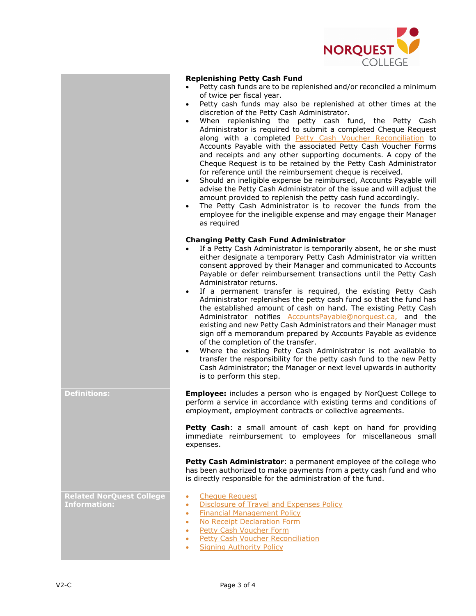

- Petty cash funds are to be replenished and/or reconciled a minimum of twice per fiscal year.
- Petty cash funds may also be replenished at other times at the discretion of the Petty Cash Administrator.
- When replenishing the petty cash fund, the Petty Cash Administrator is required to submit a completed Cheque Request along with a completed [Petty Cash Voucher Reconciliation](http://theq.norquest.ca/Departments/IPBMFS/Public-Documents/Forms/Petty-Cash-Voucher-Reconciliation.aspx) to Accounts Payable with the associated Petty Cash Voucher Forms and receipts and any other supporting documents. A copy of the Cheque Request is to be retained by the Petty Cash Administrator for reference until the reimbursement cheque is received.
- Should an ineligible expense be reimbursed, Accounts Payable will advise the Petty Cash Administrator of the issue and will adjust the amount provided to replenish the petty cash fund accordingly.
- The Petty Cash Administrator is to recover the funds from the employee for the ineligible expense and may engage their Manager as required

## **Changing Petty Cash Fund Administrator**

- If a Petty Cash Administrator is temporarily absent, he or she must either designate a temporary Petty Cash Administrator via written consent approved by their Manager and communicated to Accounts Payable or defer reimbursement transactions until the Petty Cash Administrator returns.
- If a permanent transfer is required, the existing Petty Cash Administrator replenishes the petty cash fund so that the fund has the established amount of cash on hand. The existing Petty Cash Administrator notifies **AccountsPayable@norquest.ca**, and the existing and new Petty Cash Administrators and their Manager must sign off a memorandum prepared by Accounts Payable as evidence of the completion of the transfer.
- Where the existing Petty Cash Administrator is not available to transfer the responsibility for the petty cash fund to the new Petty Cash Administrator; the Manager or next level upwards in authority is to perform this step.

**Definitions: Employee:** includes a person who is engaged by NorQuest College to perform a service in accordance with existing terms and conditions of employment, employment contracts or collective agreements.

> Petty Cash: a small amount of cash kept on hand for providing immediate reimbursement to employees for miscellaneous small expenses.

> Petty Cash Administrator: a permanent employee of the college who has been authorized to make payments from a petty cash fund and who is directly responsible for the administration of the fund.

**Related NorQuest College Information:**

- [Cheque Request](http://theq.norquest.ca/Departments/IPBMFS/Public-Documents/Forms/Cheque-Request-used-in-PeopleSoft.aspx)
- [Disclosure of Travel and Expenses Policy](https://www.norquest.ca/about-us/policies-procedures/finance/disclosure-of-travel-and-expenses-policy.aspx)
- [Financial Management Policy](https://www.norquest.ca/about-us/policies-procedures/finance/financial-management-policy.aspx)
- [No Receipt Declaration Form](http://theq.norquest.ca/Departments/IPBMFS/Public-Documents/Forms/No-Receipt-Declaration-Form.aspx)
- [Petty Cash Voucher Form](http://theq.norquest.ca/Departments/IPBMFS/Public-Documents/Forms/Petty-Cash-Voucher-Form.aspx)
- **[Petty Cash Voucher Reconciliation](http://theq.norquest.ca/Departments/IPBMFS/Public-Documents/Forms/Petty-Cash-Voucher-Reconciliation.aspx)**
- **[Signing Authority Policy](https://www.norquest.ca/about-us/policies-procedures/finance/signing-authority-policy.aspx)**